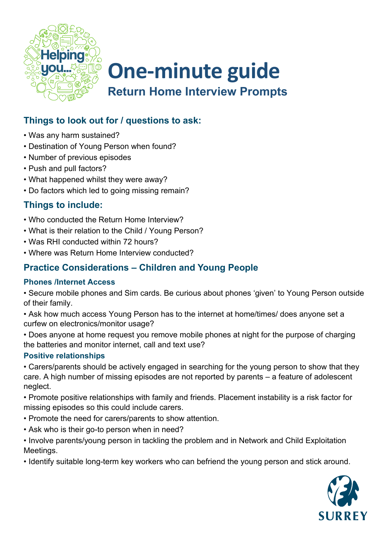

## **One-minute guide Return Home Interview Prompts**

## **Things to look out for / questions to ask:**

- Was any harm sustained?
- Destination of Young Person when found?
- Number of previous episodes
- Push and pull factors?
- What happened whilst they were away?
- Do factors which led to going missing remain?

### **Things to include:**

- Who conducted the Return Home Interview?
- What is their relation to the Child / Young Person?
- Was RHI conducted within 72 hours?
- Where was Return Home Interview conducted?

### **Practice Considerations – Children and Young People**

#### **Phones /Internet Access**

• Secure mobile phones and Sim cards. Be curious about phones 'given' to Young Person outside of their family.

• Ask how much access Young Person has to the internet at home/times/ does anyone set a curfew on electronics/monitor usage?

• Does anyone at home request you remove mobile phones at night for the purpose of charging the batteries and monitor internet, call and text use?

#### **Positive relationships**

• Carers/parents should be actively engaged in searching for the young person to show that they care. A high number of missing episodes are not reported by parents – a feature of adolescent neglect.

• Promote positive relationships with family and friends. Placement instability is a risk factor for missing episodes so this could include carers.

- Promote the need for carers/parents to show attention.
- Ask who is their go-to person when in need?

• Involve parents/young person in tackling the problem and in Network and Child Exploitation Meetings.

• Identify suitable long-term key workers who can befriend the young person and stick around.